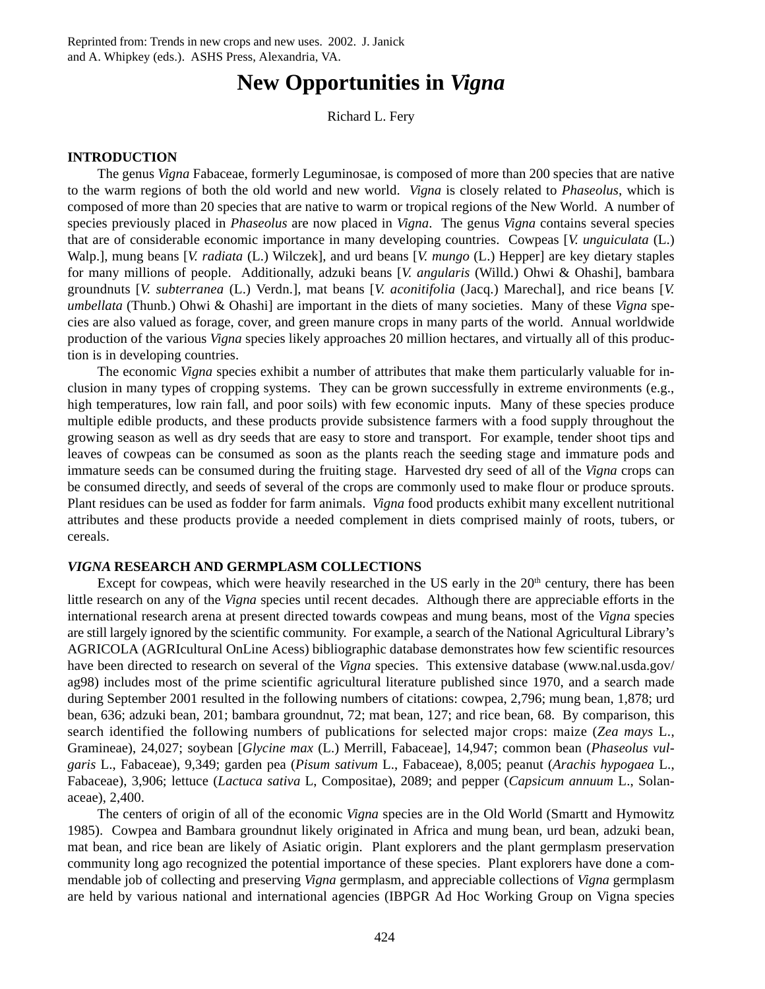# **New Opportunities in** *Vigna*

Richard L. Fery

# **INTRODUCTION**

The genus *Vigna* Fabaceae, formerly Leguminosae, is composed of more than 200 species that are native to the warm regions of both the old world and new world. *Vigna* is closely related to *Phaseolus*, which is composed of more than 20 species that are native to warm or tropical regions of the New World. A number of species previously placed in *Phaseolus* are now placed in *Vigna*. The genus *Vigna* contains several species that are of considerable economic importance in many developing countries. Cowpeas [*V. unguiculata* (L.) Walp.], mung beans [*V. radiata* (L.) Wilczek], and urd beans [*V. mungo* (L.) Hepper] are key dietary staples for many millions of people. Additionally, adzuki beans [*V. angularis* (Willd.) Ohwi & Ohashi], bambara groundnuts [*V. subterranea* (L.) Verdn.], mat beans [*V. aconitifolia* (Jacq.) Marechal], and rice beans [*V. umbellata* (Thunb.) Ohwi & Ohashi] are important in the diets of many societies. Many of these *Vigna* species are also valued as forage, cover, and green manure crops in many parts of the world. Annual worldwide production of the various *Vigna* species likely approaches 20 million hectares, and virtually all of this production is in developing countries.

The economic *Vigna* species exhibit a number of attributes that make them particularly valuable for inclusion in many types of cropping systems. They can be grown successfully in extreme environments (e.g., high temperatures, low rain fall, and poor soils) with few economic inputs. Many of these species produce multiple edible products, and these products provide subsistence farmers with a food supply throughout the growing season as well as dry seeds that are easy to store and transport. For example, tender shoot tips and leaves of cowpeas can be consumed as soon as the plants reach the seeding stage and immature pods and immature seeds can be consumed during the fruiting stage. Harvested dry seed of all of the *Vigna* crops can be consumed directly, and seeds of several of the crops are commonly used to make flour or produce sprouts. Plant residues can be used as fodder for farm animals. *Vigna* food products exhibit many excellent nutritional attributes and these products provide a needed complement in diets comprised mainly of roots, tubers, or cereals.

## *VIGNA* **RESEARCH AND GERMPLASM COLLECTIONS**

Except for cowpeas, which were heavily researched in the US early in the  $20<sup>th</sup>$  century, there has been little research on any of the *Vigna* species until recent decades. Although there are appreciable efforts in the international research arena at present directed towards cowpeas and mung beans, most of the *Vigna* species are still largely ignored by the scientific community. For example, a search of the National Agricultural Library's AGRICOLA (AGRIcultural OnLine Acess) bibliographic database demonstrates how few scientific resources have been directed to research on several of the *Vigna* species. This extensive database (www.nal.usda.gov/ ag98) includes most of the prime scientific agricultural literature published since 1970, and a search made during September 2001 resulted in the following numbers of citations: cowpea, 2,796; mung bean, 1,878; urd bean, 636; adzuki bean, 201; bambara groundnut, 72; mat bean, 127; and rice bean, 68. By comparison, this search identified the following numbers of publications for selected major crops: maize (*Zea mays* L., Gramineae), 24,027; soybean [*Glycine max* (L.) Merrill, Fabaceae], 14,947; common bean (*Phaseolus vulgaris* L., Fabaceae), 9,349; garden pea (*Pisum sativum* L., Fabaceae), 8,005; peanut (*Arachis hypogaea* L., Fabaceae), 3,906; lettuce (*Lactuca sativa* L, Compositae), 2089; and pepper (*Capsicum annuum* L., Solanaceae), 2,400.

The centers of origin of all of the economic *Vigna* species are in the Old World (Smartt and Hymowitz 1985). Cowpea and Bambara groundnut likely originated in Africa and mung bean, urd bean, adzuki bean, mat bean, and rice bean are likely of Asiatic origin. Plant explorers and the plant germplasm preservation community long ago recognized the potential importance of these species. Plant explorers have done a commendable job of collecting and preserving *Vigna* germplasm, and appreciable collections of *Vigna* germplasm are held by various national and international agencies (IBPGR Ad Hoc Working Group on Vigna species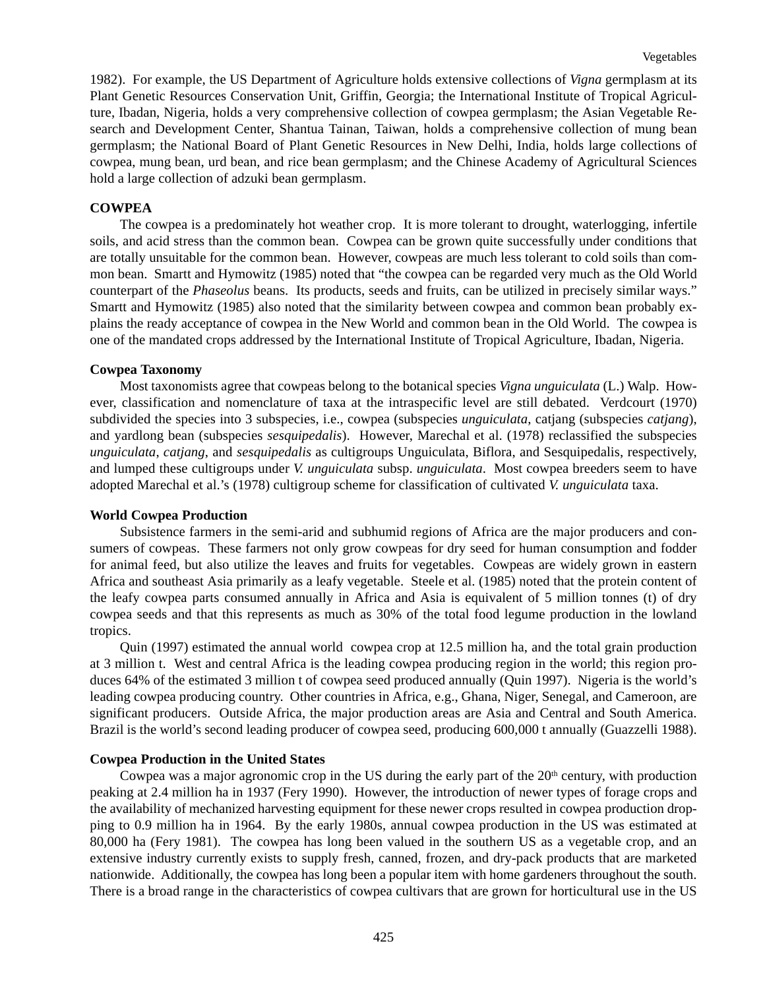1982). For example, the US Department of Agriculture holds extensive collections of *Vigna* germplasm at its Plant Genetic Resources Conservation Unit, Griffin, Georgia; the International Institute of Tropical Agriculture, Ibadan, Nigeria, holds a very comprehensive collection of cowpea germplasm; the Asian Vegetable Research and Development Center, Shantua Tainan, Taiwan, holds a comprehensive collection of mung bean germplasm; the National Board of Plant Genetic Resources in New Delhi, India, holds large collections of cowpea, mung bean, urd bean, and rice bean germplasm; and the Chinese Academy of Agricultural Sciences hold a large collection of adzuki bean germplasm.

# **COWPEA**

The cowpea is a predominately hot weather crop. It is more tolerant to drought, waterlogging, infertile soils, and acid stress than the common bean. Cowpea can be grown quite successfully under conditions that are totally unsuitable for the common bean. However, cowpeas are much less tolerant to cold soils than common bean. Smartt and Hymowitz (1985) noted that "the cowpea can be regarded very much as the Old World counterpart of the *Phaseolus* beans. Its products, seeds and fruits, can be utilized in precisely similar ways." Smartt and Hymowitz (1985) also noted that the similarity between cowpea and common bean probably explains the ready acceptance of cowpea in the New World and common bean in the Old World. The cowpea is one of the mandated crops addressed by the International Institute of Tropical Agriculture, Ibadan, Nigeria.

## **Cowpea Taxonomy**

Most taxonomists agree that cowpeas belong to the botanical species *Vigna unguiculata* (L.) Walp. However, classification and nomenclature of taxa at the intraspecific level are still debated. Verdcourt (1970) subdivided the species into 3 subspecies, i.e., cowpea (subspecies *unguiculata*, catjang (subspecies *catjang*), and yardlong bean (subspecies *sesquipedalis*). However, Marechal et al. (1978) reclassified the subspecies *unguiculata*, *catjang*, and *sesquipedalis* as cultigroups Unguiculata, Biflora, and Sesquipedalis, respectively, and lumped these cultigroups under *V. unguiculata* subsp. *unguiculata*. Most cowpea breeders seem to have adopted Marechal et al.'s (1978) cultigroup scheme for classification of cultivated *V. unguiculata* taxa.

# **World Cowpea Production**

Subsistence farmers in the semi-arid and subhumid regions of Africa are the major producers and consumers of cowpeas. These farmers not only grow cowpeas for dry seed for human consumption and fodder for animal feed, but also utilize the leaves and fruits for vegetables. Cowpeas are widely grown in eastern Africa and southeast Asia primarily as a leafy vegetable. Steele et al. (1985) noted that the protein content of the leafy cowpea parts consumed annually in Africa and Asia is equivalent of 5 million tonnes (t) of dry cowpea seeds and that this represents as much as 30% of the total food legume production in the lowland tropics.

Quin (1997) estimated the annual world cowpea crop at 12.5 million ha, and the total grain production at 3 million t. West and central Africa is the leading cowpea producing region in the world; this region produces 64% of the estimated 3 million t of cowpea seed produced annually (Quin 1997). Nigeria is the world's leading cowpea producing country. Other countries in Africa, e.g., Ghana, Niger, Senegal, and Cameroon, are significant producers. Outside Africa, the major production areas are Asia and Central and South America. Brazil is the world's second leading producer of cowpea seed, producing 600,000 t annually (Guazzelli 1988).

## **Cowpea Production in the United States**

Cowpea was a major agronomic crop in the US during the early part of the  $20<sup>th</sup>$  century, with production peaking at 2.4 million ha in 1937 (Fery 1990). However, the introduction of newer types of forage crops and the availability of mechanized harvesting equipment for these newer crops resulted in cowpea production dropping to 0.9 million ha in 1964. By the early 1980s, annual cowpea production in the US was estimated at 80,000 ha (Fery 1981). The cowpea has long been valued in the southern US as a vegetable crop, and an extensive industry currently exists to supply fresh, canned, frozen, and dry-pack products that are marketed nationwide. Additionally, the cowpea has long been a popular item with home gardeners throughout the south. There is a broad range in the characteristics of cowpea cultivars that are grown for horticultural use in the US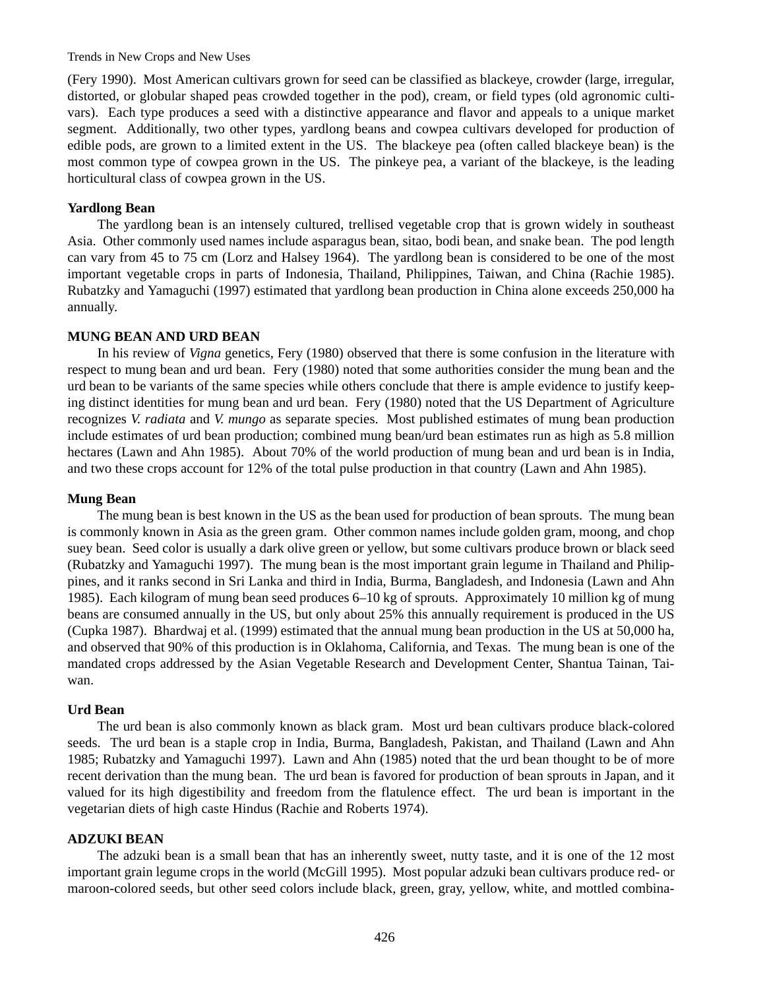#### Trends in New Crops and New Uses

(Fery 1990). Most American cultivars grown for seed can be classified as blackeye, crowder (large, irregular, distorted, or globular shaped peas crowded together in the pod), cream, or field types (old agronomic cultivars). Each type produces a seed with a distinctive appearance and flavor and appeals to a unique market segment. Additionally, two other types, yardlong beans and cowpea cultivars developed for production of edible pods, are grown to a limited extent in the US. The blackeye pea (often called blackeye bean) is the most common type of cowpea grown in the US. The pinkeye pea, a variant of the blackeye, is the leading horticultural class of cowpea grown in the US.

#### **Yardlong Bean**

The yardlong bean is an intensely cultured, trellised vegetable crop that is grown widely in southeast Asia. Other commonly used names include asparagus bean, sitao, bodi bean, and snake bean. The pod length can vary from 45 to 75 cm (Lorz and Halsey 1964). The yardlong bean is considered to be one of the most important vegetable crops in parts of Indonesia, Thailand, Philippines, Taiwan, and China (Rachie 1985). Rubatzky and Yamaguchi (1997) estimated that yardlong bean production in China alone exceeds 250,000 ha annually.

## **MUNG BEAN AND URD BEAN**

In his review of *Vigna* genetics, Fery (1980) observed that there is some confusion in the literature with respect to mung bean and urd bean. Fery (1980) noted that some authorities consider the mung bean and the urd bean to be variants of the same species while others conclude that there is ample evidence to justify keeping distinct identities for mung bean and urd bean. Fery (1980) noted that the US Department of Agriculture recognizes *V. radiata* and *V. mungo* as separate species. Most published estimates of mung bean production include estimates of urd bean production; combined mung bean/urd bean estimates run as high as 5.8 million hectares (Lawn and Ahn 1985). About 70% of the world production of mung bean and urd bean is in India, and two these crops account for 12% of the total pulse production in that country (Lawn and Ahn 1985).

#### **Mung Bean**

The mung bean is best known in the US as the bean used for production of bean sprouts. The mung bean is commonly known in Asia as the green gram. Other common names include golden gram, moong, and chop suey bean. Seed color is usually a dark olive green or yellow, but some cultivars produce brown or black seed (Rubatzky and Yamaguchi 1997). The mung bean is the most important grain legume in Thailand and Philippines, and it ranks second in Sri Lanka and third in India, Burma, Bangladesh, and Indonesia (Lawn and Ahn 1985). Each kilogram of mung bean seed produces 6–10 kg of sprouts. Approximately 10 million kg of mung beans are consumed annually in the US, but only about 25% this annually requirement is produced in the US (Cupka 1987). Bhardwaj et al. (1999) estimated that the annual mung bean production in the US at 50,000 ha, and observed that 90% of this production is in Oklahoma, California, and Texas. The mung bean is one of the mandated crops addressed by the Asian Vegetable Research and Development Center, Shantua Tainan, Taiwan.

#### **Urd Bean**

The urd bean is also commonly known as black gram. Most urd bean cultivars produce black-colored seeds. The urd bean is a staple crop in India, Burma, Bangladesh, Pakistan, and Thailand (Lawn and Ahn 1985; Rubatzky and Yamaguchi 1997). Lawn and Ahn (1985) noted that the urd bean thought to be of more recent derivation than the mung bean. The urd bean is favored for production of bean sprouts in Japan, and it valued for its high digestibility and freedom from the flatulence effect. The urd bean is important in the vegetarian diets of high caste Hindus (Rachie and Roberts 1974).

#### **ADZUKI BEAN**

The adzuki bean is a small bean that has an inherently sweet, nutty taste, and it is one of the 12 most important grain legume crops in the world (McGill 1995). Most popular adzuki bean cultivars produce red- or maroon-colored seeds, but other seed colors include black, green, gray, yellow, white, and mottled combina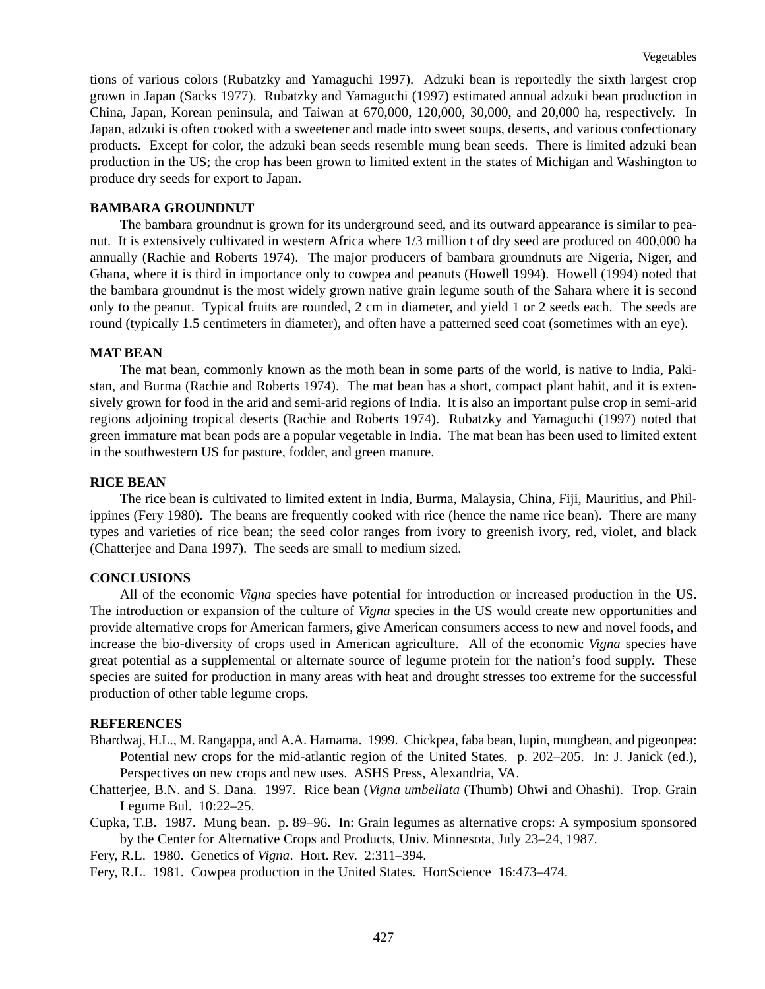tions of various colors (Rubatzky and Yamaguchi 1997). Adzuki bean is reportedly the sixth largest crop grown in Japan (Sacks 1977). Rubatzky and Yamaguchi (1997) estimated annual adzuki bean production in China, Japan, Korean peninsula, and Taiwan at 670,000, 120,000, 30,000, and 20,000 ha, respectively. In Japan, adzuki is often cooked with a sweetener and made into sweet soups, deserts, and various confectionary products. Except for color, the adzuki bean seeds resemble mung bean seeds. There is limited adzuki bean production in the US; the crop has been grown to limited extent in the states of Michigan and Washington to produce dry seeds for export to Japan.

# **BAMBARA GROUNDNUT**

The bambara groundnut is grown for its underground seed, and its outward appearance is similar to peanut. It is extensively cultivated in western Africa where 1/3 million t of dry seed are produced on 400,000 ha annually (Rachie and Roberts 1974). The major producers of bambara groundnuts are Nigeria, Niger, and Ghana, where it is third in importance only to cowpea and peanuts (Howell 1994). Howell (1994) noted that the bambara groundnut is the most widely grown native grain legume south of the Sahara where it is second only to the peanut. Typical fruits are rounded, 2 cm in diameter, and yield 1 or 2 seeds each. The seeds are round (typically 1.5 centimeters in diameter), and often have a patterned seed coat (sometimes with an eye).

### **MAT BEAN**

The mat bean, commonly known as the moth bean in some parts of the world, is native to India, Pakistan, and Burma (Rachie and Roberts 1974). The mat bean has a short, compact plant habit, and it is extensively grown for food in the arid and semi-arid regions of India. It is also an important pulse crop in semi-arid regions adjoining tropical deserts (Rachie and Roberts 1974). Rubatzky and Yamaguchi (1997) noted that green immature mat bean pods are a popular vegetable in India. The mat bean has been used to limited extent in the southwestern US for pasture, fodder, and green manure.

## **RICE BEAN**

The rice bean is cultivated to limited extent in India, Burma, Malaysia, China, Fiji, Mauritius, and Philippines (Fery 1980). The beans are frequently cooked with rice (hence the name rice bean). There are many types and varieties of rice bean; the seed color ranges from ivory to greenish ivory, red, violet, and black (Chatterjee and Dana 1997). The seeds are small to medium sized.

# **CONCLUSIONS**

All of the economic *Vigna* species have potential for introduction or increased production in the US. The introduction or expansion of the culture of *Vigna* species in the US would create new opportunities and provide alternative crops for American farmers, give American consumers access to new and novel foods, and increase the bio-diversity of crops used in American agriculture. All of the economic *Vigna* species have great potential as a supplemental or alternate source of legume protein for the nation's food supply. These species are suited for production in many areas with heat and drought stresses too extreme for the successful production of other table legume crops.

## **REFERENCES**

- Bhardwaj, H.L., M. Rangappa, and A.A. Hamama. 1999. Chickpea, faba bean, lupin, mungbean, and pigeonpea: Potential new crops for the mid-atlantic region of the United States. p. 202–205. In: J. Janick (ed.), Perspectives on new crops and new uses. ASHS Press, Alexandria, VA.
- Chatterjee, B.N. and S. Dana. 1997. Rice bean (*Vigna umbellata* (Thumb) Ohwi and Ohashi). Trop. Grain Legume Bul. 10:22–25.
- Cupka, T.B. 1987. Mung bean. p. 89–96. In: Grain legumes as alternative crops: A symposium sponsored by the Center for Alternative Crops and Products, Univ. Minnesota, July 23–24, 1987.

Fery, R.L. 1980. Genetics of *Vigna*. Hort. Rev. 2:311–394.

Fery, R.L. 1981. Cowpea production in the United States. HortScience 16:473–474.